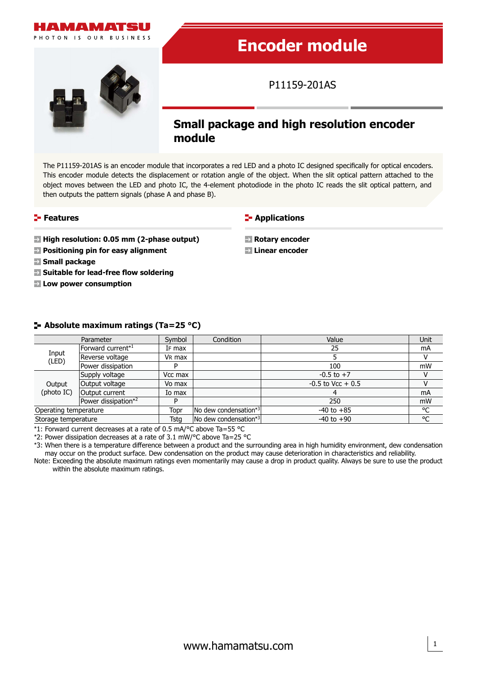

# **Encoder module**

P11159-201AS



# **Small package and high resolution encoder module**

The P11159-201AS is an encoder module that incorporates a red LED and a photo IC designed specifically for optical encoders. This encoder module detects the displacement or rotation angle of the object. When the slit optical pattern attached to the object moves between the LED and photo IC, the 4-element photodiode in the photo IC reads the slit optical pattern, and then outputs the pattern signals (phase A and phase B).

#### **Features**

**High resolution: 0.05 mm (2-phase output)** 

- **Positioning pin for easy alignment**
- **Small package**
- **Suitable for lead-free flow soldering**
- **Low power consumption**

**E-** Applications

**Rotary encoder Linear encoder**

#### **Absolute maximum ratings (Ta=25 °C)**

|                       | Parameter           | Symbol             | Condition             | Value                | Unit |
|-----------------------|---------------------|--------------------|-----------------------|----------------------|------|
| Input<br>(LED)        | Forward current*1   | IF max             |                       | 25                   | mA   |
|                       | Reverse voltage     | V <sub>R</sub> max |                       |                      |      |
|                       | Power dissipation   | D                  |                       | 100                  | mW   |
| Output<br>(photo IC)  | Supply voltage      | Vcc max            |                       | $-0.5$ to $+7$       |      |
|                       | Output voltage      | Vo max             |                       | $-0.5$ to Vcc $+0.5$ |      |
|                       | Output current      | Io max             |                       |                      | mA   |
|                       | Power dissipation*2 | D                  |                       | 250                  | mW   |
| Operating temperature |                     | Topr               | No dew condensation*3 | $-40$ to $+85$       | °C   |
| Storage temperature   |                     | <b>Tsta</b>        | No dew condensation*3 | $-40$ to $+90$       | °C   |

\*1: Forward current decreases at a rate of 0.5 mA/°C above Ta=55 °C

\*2: Power dissipation decreases at a rate of 3.1 mW/°C above Ta=25 °C

\*3: When there is a temperature difference between a product and the surrounding area in high humidity environment, dew condensation may occur on the product surface. Dew condensation on the product may cause deterioration in characteristics and reliability.

Note: Exceeding the absolute maximum ratings even momentarily may cause a drop in product quality. Always be sure to use the product within the absolute maximum ratings.

1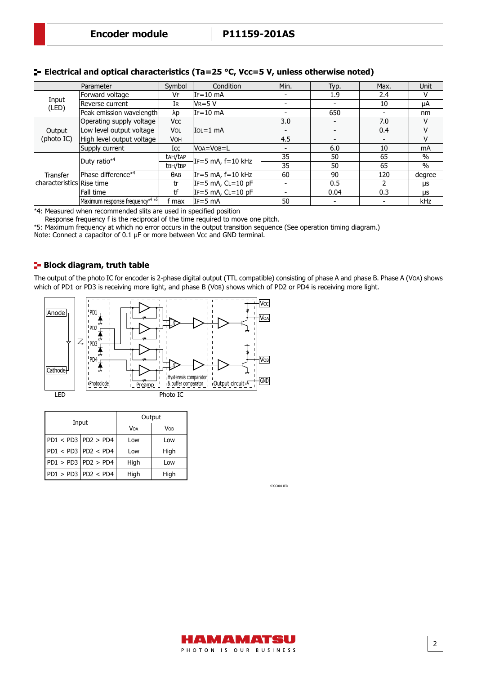|                           | Parameter                       | Symbol      | Condition           | Min.                     | Typ.                     | Max.                     | <b>Unit</b> |
|---------------------------|---------------------------------|-------------|---------------------|--------------------------|--------------------------|--------------------------|-------------|
| Input<br>(LED)            | Forward voltage                 | VF          | $IF=10$ mA          | $\overline{\phantom{0}}$ | 1.9                      | 2.4                      | v           |
|                           | Reverse current                 | IR          | $V = 5 V$           |                          |                          | 10                       | μA          |
|                           | Peak emission wavelength        | λp          | IF=10 mA            |                          | 650                      | $\overline{\phantom{a}}$ | nm          |
|                           | Operating supply voltage        | Vcc         |                     | 3.0                      | $\overline{\phantom{a}}$ | 7.0                      | v           |
| Output                    | Low level output voltage        | <b>VOL</b>  | lIo∟=1 mA           | $\overline{\phantom{a}}$ |                          | 0.4                      | v           |
| (photo IC)                | High level output voltage       | VOH         |                     | 4.5                      | -                        | $\blacksquare$           | v           |
|                           | Supply current                  | Icc         | VOA=VOB=L           | $\overline{\phantom{0}}$ | 6.0                      | 10                       | <b>mA</b>   |
|                           | Duty ratio <sup>*4</sup>        | tah/tap     | IF=5 mA, f=10 kHz   | 35                       | 50                       | 65                       | $\%$        |
|                           |                                 | tBH/tBP     | 35                  | 50                       | 65                       | $\%$                     |             |
| Transfer                  | Phase difference* <sup>4</sup>  | $\theta$ AB | IF=5 mA, f=10 kHz   | 60                       | 90                       | 120                      | degree      |
| characteristics Rise time |                                 | tr          | IF=5 mA, $CL=10$ pF |                          | 0.5                      |                          | μs          |
|                           | Fall time                       | tf          | IF=5 mA, $CL=10$ pF |                          | 0.04                     | 0.3                      | μs          |
|                           | Maximum response frequency*4 *5 | f max       | lIF=5 mA            | 50                       |                          |                          | kHz         |

### **E** Electrical and optical characteristics (Ta=25 °C, Vcc=5 V, unless otherwise noted)

\*4: Measured when recommended slits are used in specified position

Response frequency f is the reciprocal of the time required to move one pitch.

\*5: Maximum frequency at which no error occurs in the output transition sequence (See operation timing diagram.)

Note: Connect a capacitor of 0.1 µF or more between Vcc and GND terminal.

#### **Block diagram, truth table**

The output of the photo IC for encoder is 2-phase digital output (TTL compatible) consisting of phase A and phase B. Phase A (VOA) shows which of PD1 or PD3 is receiving more light, and phase B (VOB) shows which of PD2 or PD4 is receiving more light.



|                                                                                | Input                   | Output     |      |  |
|--------------------------------------------------------------------------------|-------------------------|------------|------|--|
|                                                                                |                         | <b>VOA</b> | VOB  |  |
| $\textsf{PD1} < \textsf{PD3} \, \textsf{PD2} > \textsf{PD4}$                   |                         | Low        | Low  |  |
| $\textsf{P}\textsf{D1} < \textsf{PD3} \, \textsf{P}\textsf{D2} < \textsf{PD4}$ |                         | Low        | High |  |
| $\textsf{PD1} > \textsf{PD3} \, \textsf{PD2} > \textsf{PD4}$                   |                         | High       | Low  |  |
|                                                                                | $PD1 > PD3$ $PD2 < PD4$ | High       | High |  |

KPCC0011ED

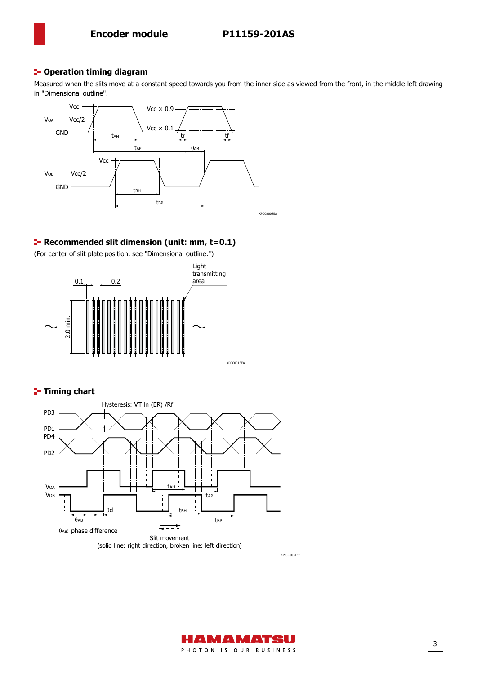#### **<sup>1</sup>- Operation timing diagram**

Measured when the slits move at a constant speed towards you from the inner side as viewed from the front, in the middle left drawing in "Dimensional outline".



#### **Recommended slit dimension (unit: mm, t=0.1)**

(For center of slit plate position, see "Dimensional outline.")



### **Timing chart**



KPICC0031EF

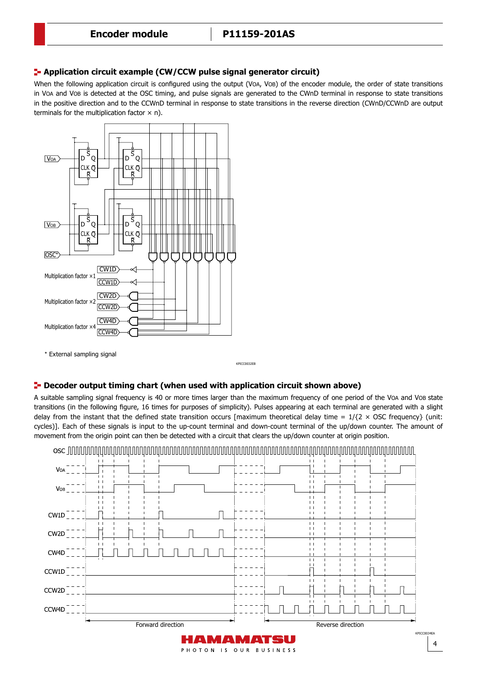Application circuit example

#### **Application circuit example (CW/CCW pulse signal generator circuit)**

When the following application circuit is configured using the output (VOA, VOB) of the encoder module, the order of state transitions in VOA and VOB is detected at the OSC timing, and pulse signals are generated to the CWnD terminal in response to state transitions in the positive direction and to the CCWnD terminal in response to state transitions in the reverse direction (CWnD/CCWnD are output terminals for the multiplication factor  $\times$  n).



\* External sampling signal

KPICC0032EB

#### **P** Decoder output timing chart (when used with application circuit shown above)

cycles)]. Each of these signals is input to the up-count terminal and down-count terminal of the up/down counter. The amount of transitions (in the following figure, 16 times for purposes of simplicity). Pulses appearing at each terminal are generated with a slight A suitable sampling signal frequency is 40 or more times larger than the maximum frequency of one period of the VOA and VOB state delay from the instant that the defined state transition occurs [maximum theoretical delay time =  $1/\{2 \times \text{OSC frequency}\}$  (unit: movement from the origin point can then be detected with a circuit that clears the up/down counter at origin position.

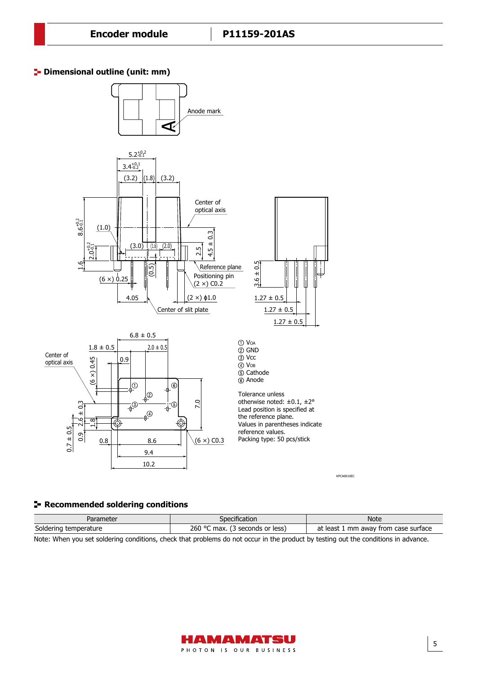## **Dimensional outline (unit: mm)** Dimensional outline (unit: mm)



#### **Recommended soldering conditions**

| Parameter                | pecification                          | Note                                             |  |
|--------------------------|---------------------------------------|--------------------------------------------------|--|
| Soldering<br>temperature | 260 °C<br>max.<br>less)<br>seconds or | at<br>mm<br>away from case<br>: least<br>surface |  |

Note: When you set soldering conditions, check that problems do not occur in the product by testing out the conditions in advance.